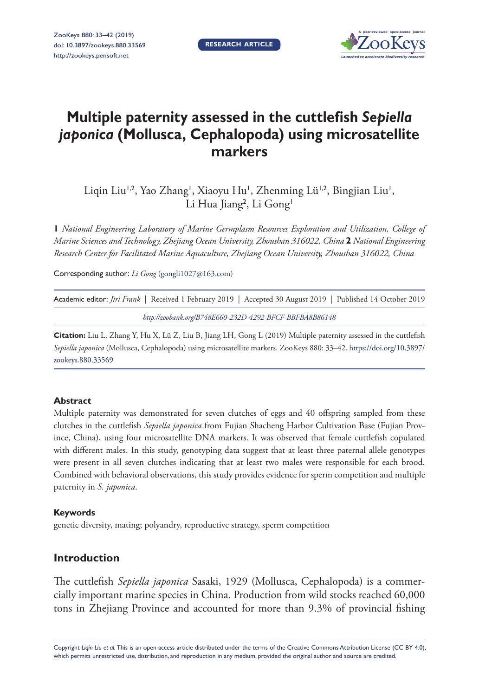**RESEARCH ARTICLE**



# **Multiple paternity assessed in the cuttlefish** *Sepiella japonica* **(Mollusca, Cephalopoda) using microsatellite markers**

Liqin Liu<sup>1,2</sup>, Yao Zhang<sup>1</sup>, Xiaoyu Hu<sup>1</sup>, Zhenming Lü<sup>1,2</sup>, Bingjian Liu<sup>1</sup>, Li Hua Jiang<sup>2</sup>, Li Gong<sup>1</sup>

**1** *National Engineering Laboratory of Marine Germplasm Resources Exploration and Utilization, College of Marine Sciences and Technology, Zhejiang Ocean University, Zhoushan 316022, China* **2** *National Engineering Research Center for Facilitated Marine Aquaculture, Zhejiang Ocean University, Zhoushan 316022, China*

Corresponding author: *Li Gong* [\(gongli1027@163.com](mailto:gongli1027@163.com))

|                                                         | Academic editor: <i>Jiri Frank</i>   Received 1 February 2019   Accepted 30 August 2019   Published 14 October 2019 |  |  |  |  |
|---------------------------------------------------------|---------------------------------------------------------------------------------------------------------------------|--|--|--|--|
| http://zoobank.org/B748E660-232D-4292-BFCF-BBFBA8B86148 |                                                                                                                     |  |  |  |  |

**Citation:** Liu L, Zhang Y, Hu X, Lü Z, Liu B, Jiang LH, Gong L (2019) Multiple paternity assessed in the cuttlefish *Sepiella japonica* (Mollusca, Cephalopoda) using microsatellite markers. ZooKeys 880: 33–42. [https://doi.org/10.3897/](https://doi.org/10.3897/zookeys.880.33569) [zookeys.880.33569](https://doi.org/10.3897/zookeys.880.33569)

# **Abstract**

Multiple paternity was demonstrated for seven clutches of eggs and 40 offspring sampled from these clutches in the cuttlefish *Sepiella japonica* from Fujian Shacheng Harbor Cultivation Base (Fujian Province, China), using four microsatellite DNA markers. It was observed that female cuttlefish copulated with different males. In this study, genotyping data suggest that at least three paternal allele genotypes were present in all seven clutches indicating that at least two males were responsible for each brood. Combined with behavioral observations, this study provides evidence for sperm competition and multiple paternity in *S. japonica*.

#### **Keywords**

genetic diversity, mating; polyandry, reproductive strategy, sperm competition

# **Introduction**

The cuttlefish *Sepiella japonica* Sasaki, 1929 (Mollusca, Cephalopoda) is a commercially important marine species in China. Production from wild stocks reached 60,000 tons in Zhejiang Province and accounted for more than 9.3% of provincial fishing

Copyright *Liqin Liu et al.* This is an open access article distributed under the terms of the [Creative Commons Attribution License \(CC BY 4.0\),](http://creativecommons.org/licenses/by/4.0/) which permits unrestricted use, distribution, and reproduction in any medium, provided the original author and source are credited.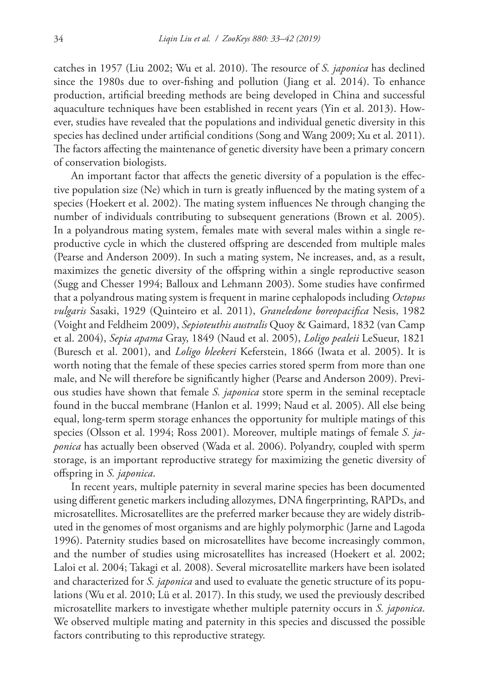catches in 1957 (Liu 2002; Wu et al. 2010). The resource of *S. japonica* has declined since the 1980s due to over-fishing and pollution (Jiang et al. 2014). To enhance production, artificial breeding methods are being developed in China and successful aquaculture techniques have been established in recent years (Yin et al. 2013). However, studies have revealed that the populations and individual genetic diversity in this species has declined under artificial conditions (Song and Wang 2009; Xu et al. 2011). The factors affecting the maintenance of genetic diversity have been a primary concern of conservation biologists.

An important factor that affects the genetic diversity of a population is the effective population size (Ne) which in turn is greatly influenced by the mating system of a species (Hoekert et al. 2002). The mating system influences Ne through changing the number of individuals contributing to subsequent generations (Brown et al. 2005). In a polyandrous mating system, females mate with several males within a single reproductive cycle in which the clustered offspring are descended from multiple males (Pearse and Anderson 2009). In such a mating system, Ne increases, and, as a result, maximizes the genetic diversity of the offspring within a single reproductive season (Sugg and Chesser 1994; Balloux and Lehmann 2003). Some studies have confirmed that a polyandrous mating system is frequent in marine cephalopods including *Octopus vulgaris* Sasaki, 1929 (Quinteiro et al. 2011), *Graneledone boreopacifica* Nesis, 1982 (Voight and Feldheim 2009), *Sepioteuthis australis* Quoy & Gaimard, 1832 (van Camp et al. 2004), *Sepia apama* Gray, 1849 (Naud et al. 2005), *Loligo pealeii* LeSueur, 1821 (Buresch et al. 2001), and *Loligo bleekeri* Keferstein, 1866 (Iwata et al. 2005). It is worth noting that the female of these species carries stored sperm from more than one male, and Ne will therefore be significantly higher (Pearse and Anderson 2009). Previous studies have shown that female *S. japonica* store sperm in the seminal receptacle found in the buccal membrane (Hanlon et al. 1999; Naud et al. 2005). All else being equal, long-term sperm storage enhances the opportunity for multiple matings of this species (Olsson et al. 1994; Ross 2001). Moreover, multiple matings of female *S. japonica* has actually been observed (Wada et al. 2006). Polyandry, coupled with sperm storage, is an important reproductive strategy for maximizing the genetic diversity of offspring in *S. japonica*.

In recent years, multiple paternity in several marine species has been documented using different genetic markers including allozymes, DNA fingerprinting, RAPDs, and microsatellites. Microsatellites are the preferred marker because they are widely distributed in the genomes of most organisms and are highly polymorphic (Jarne and Lagoda 1996). Paternity studies based on microsatellites have become increasingly common, and the number of studies using microsatellites has increased (Hoekert et al. 2002; Laloi et al. 2004; Takagi et al. 2008). Several microsatellite markers have been isolated and characterized for *S. japonica* and used to evaluate the genetic structure of its populations (Wu et al. 2010; Lü et al. 2017). In this study, we used the previously described microsatellite markers to investigate whether multiple paternity occurs in *S. japonica*. We observed multiple mating and paternity in this species and discussed the possible factors contributing to this reproductive strategy.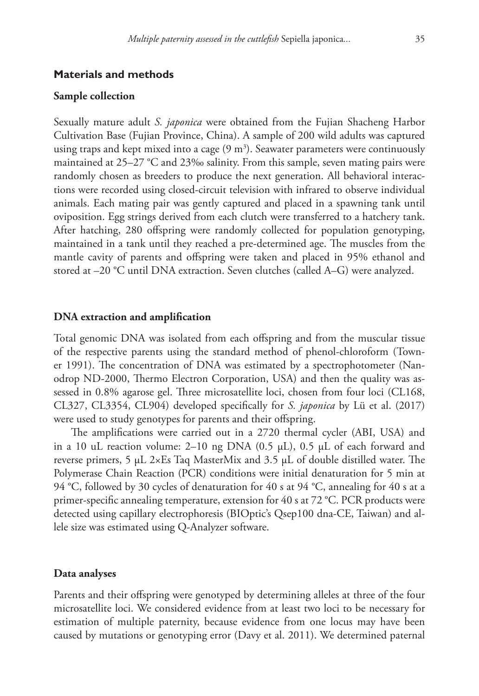#### **Materials and methods**

#### **Sample collection**

Sexually mature adult *S. japonica* were obtained from the Fujian Shacheng Harbor Cultivation Base (Fujian Province, China). A sample of 200 wild adults was captured using traps and kept mixed into a cage  $(9 \text{ m}^3)$ . Seawater parameters were continuously maintained at 25–27 °C and 23‰ salinity. From this sample, seven mating pairs were randomly chosen as breeders to produce the next generation. All behavioral interactions were recorded using closed-circuit television with infrared to observe individual animals. Each mating pair was gently captured and placed in a spawning tank until oviposition. Egg strings derived from each clutch were transferred to a hatchery tank. After hatching, 280 offspring were randomly collected for population genotyping, maintained in a tank until they reached a pre-determined age. The muscles from the mantle cavity of parents and offspring were taken and placed in 95% ethanol and stored at –20 °C until DNA extraction. Seven clutches (called A–G) were analyzed.

#### **DNA extraction and amplification**

Total genomic DNA was isolated from each offspring and from the muscular tissue of the respective parents using the standard method of phenol-chloroform (Towner 1991). The concentration of DNA was estimated by a spectrophotometer (Nanodrop ND-2000, Thermo Electron Corporation, USA) and then the quality was assessed in 0.8% agarose gel. Three microsatellite loci, chosen from four loci (CL168, CL327, CL3354, CL904) developed specifically for *S. japonica* by Lü et al. (2017) were used to study genotypes for parents and their offspring.

The amplifications were carried out in a 2720 thermal cycler (ABI, USA) and in a 10 uL reaction volume: 2–10 ng DNA  $(0.5 \mu L)$ , 0.5  $\mu L$  of each forward and reverse primers, 5 µL 2×Es Taq MasterMix and 3.5 µL of double distilled water. The Polymerase Chain Reaction (PCR) conditions were initial denaturation for 5 min at 94 °C, followed by 30 cycles of denaturation for 40 s at 94 °C, annealing for 40 s at a primer-specific annealing temperature, extension for 40 s at 72 °C. PCR products were detected using capillary electrophoresis (BIOptic's Qsep100 dna-CE, Taiwan) and allele size was estimated using Q-Analyzer software.

#### **Data analyses**

Parents and their offspring were genotyped by determining alleles at three of the four microsatellite loci. We considered evidence from at least two loci to be necessary for estimation of multiple paternity, because evidence from one locus may have been caused by mutations or genotyping error (Davy et al. 2011). We determined paternal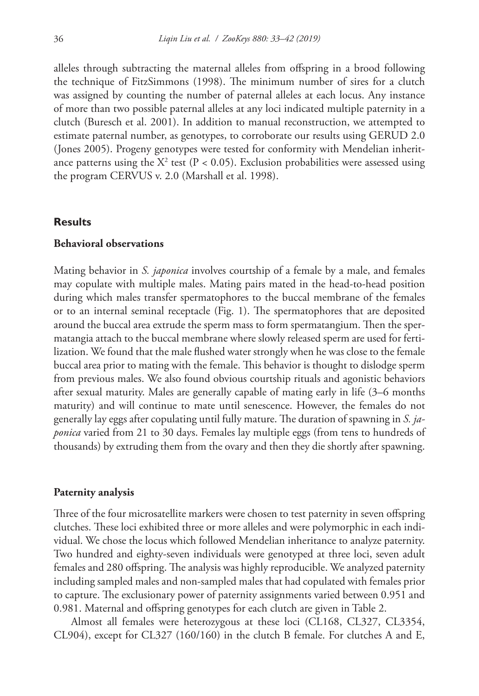alleles through subtracting the maternal alleles from offspring in a brood following the technique of FitzSimmons (1998). The minimum number of sires for a clutch was assigned by counting the number of paternal alleles at each locus. Any instance of more than two possible paternal alleles at any loci indicated multiple paternity in a clutch (Buresch et al. 2001). In addition to manual reconstruction, we attempted to estimate paternal number, as genotypes, to corroborate our results using GERUD 2.0 (Jones 2005). Progeny genotypes were tested for conformity with Mendelian inheritance patterns using the  $X^2$  test (P < 0.05). Exclusion probabilities were assessed using the program CERVUS v. 2.0 (Marshall et al. 1998).

#### **Results**

#### **Behavioral observations**

Mating behavior in *S. japonica* involves courtship of a female by a male, and females may copulate with multiple males. Mating pairs mated in the head-to-head position during which males transfer spermatophores to the buccal membrane of the females or to an internal seminal receptacle (Fig. 1). The spermatophores that are deposited around the buccal area extrude the sperm mass to form spermatangium. Then the spermatangia attach to the buccal membrane where slowly released sperm are used for fertilization. We found that the male flushed water strongly when he was close to the female buccal area prior to mating with the female. This behavior is thought to dislodge sperm from previous males. We also found obvious courtship rituals and agonistic behaviors after sexual maturity. Males are generally capable of mating early in life (3–6 months maturity) and will continue to mate until senescence. However, the females do not generally lay eggs after copulating until fully mature. The duration of spawning in *S. japonica* varied from 21 to 30 days. Females lay multiple eggs (from tens to hundreds of thousands) by extruding them from the ovary and then they die shortly after spawning.

#### **Paternity analysis**

Three of the four microsatellite markers were chosen to test paternity in seven offspring clutches. These loci exhibited three or more alleles and were polymorphic in each individual. We chose the locus which followed Mendelian inheritance to analyze paternity. Two hundred and eighty-seven individuals were genotyped at three loci, seven adult females and 280 offspring. The analysis was highly reproducible. We analyzed paternity including sampled males and non-sampled males that had copulated with females prior to capture. The exclusionary power of paternity assignments varied between 0.951 and 0.981. Maternal and offspring genotypes for each clutch are given in Table 2.

Almost all females were heterozygous at these loci (CL168, CL327, CL3354, CL904), except for CL327 (160/160) in the clutch B female. For clutches A and E,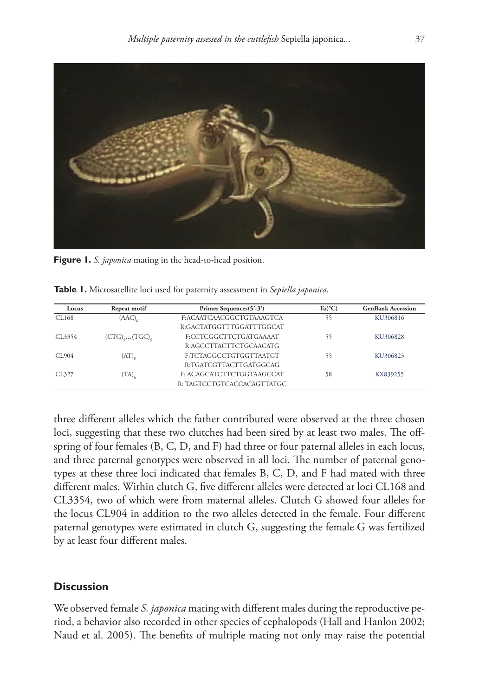

**Figure 1.** *S. japonica* mating in the head-to-head position.

| Locus  | Repeat motif          | Primer Sequences(5'-3')    | $Ta(^{\circ}C)$ | <b>GenBank Accession</b> |  |  |
|--------|-----------------------|----------------------------|-----------------|--------------------------|--|--|
| CL168  | (AAC)                 | F:ACAATCAACGGCTGTAAAGTCA   | 55              | KU306816                 |  |  |
|        |                       | R:GACTATGGTTTGGATTTGGCAT   |                 |                          |  |  |
| CL3354 | $(CTG), \ldots (TGC)$ | F:CCTCGGCTTCTGATGAAAAT     | 55              | KU306828                 |  |  |
|        |                       | R:AGCCTTACTTCTGCAACATG     |                 |                          |  |  |
| CL904  | $(AT)_{\rm s}$        | F:TCTAGGCCTGTGGTTAATGT     | 55              | KU306823                 |  |  |
|        |                       | R:TGATCGTTACTTGATGGCAG     |                 |                          |  |  |
| CL327  | (TA) <sub>6</sub>     | F: ACAGCATCTTCTGGTAAGCCAT  | 58              | KX839255                 |  |  |
|        |                       | R: TAGTCCTGTCACCACAGTTATGC |                 |                          |  |  |

**Table 1.** Microsatellite loci used for paternity assessment in *Sepiella japonica.*

three different alleles which the father contributed were observed at the three chosen loci, suggesting that these two clutches had been sired by at least two males. The offspring of four females (B, C, D, and F) had three or four paternal alleles in each locus, and three paternal genotypes were observed in all loci. The number of paternal genotypes at these three loci indicated that females B, C, D, and F had mated with three different males. Within clutch G, five different alleles were detected at loci CL168 and CL3354, two of which were from maternal alleles. Clutch G showed four alleles for the locus CL904 in addition to the two alleles detected in the female. Four different paternal genotypes were estimated in clutch G, suggesting the female G was fertilized by at least four different males.

# **Discussion**

We observed female *S. japonica* mating with different males during the reproductive period, a behavior also recorded in other species of cephalopods (Hall and Hanlon 2002; Naud et al. 2005). The benefits of multiple mating not only may raise the potential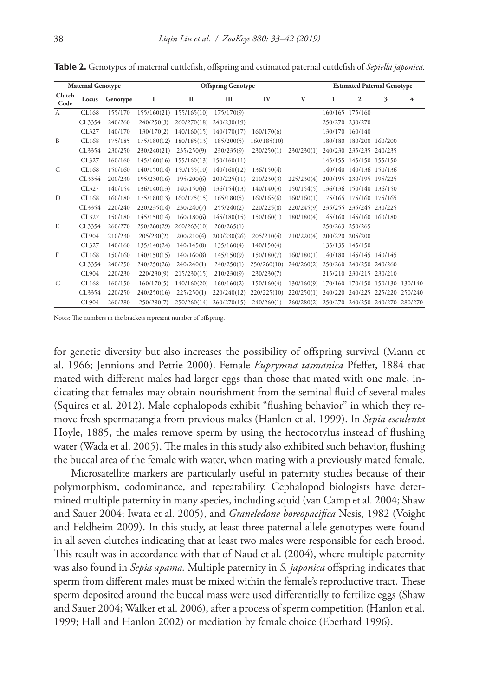| <b>Maternal Genotype</b> |        | <b>Offspring Genotype</b> |             |              |             | <b>Estimated Paternal Genotype</b> |            |              |                                 |                         |                |
|--------------------------|--------|---------------------------|-------------|--------------|-------------|------------------------------------|------------|--------------|---------------------------------|-------------------------|----------------|
| Clutch<br>Code           | Locus  | Genotype                  | 1           | $\mathbf{I}$ | III         | $I\!V$                             | V          | $\mathbf{1}$ | $\mathbf{2}$                    | 3                       | $\overline{4}$ |
| $\mathsf{A}$             | CL168  | 155/170                   | 155/160(21) | 155/165(10)  | 175/170(9)  |                                    |            |              | 160/165 175/160                 |                         |                |
|                          | CL3354 | 240/260                   | 240/250(3)  | 260/270(18)  | 240/230(19) |                                    |            |              | 250/270 230/270                 |                         |                |
|                          | CL327  | 140/170                   | 130/170(2)  | 140/160(15)  | 140/170(17) | 160/170(6)                         |            |              | 130/170 160/140                 |                         |                |
| B                        | CL168  | 175/185                   | 175/180(12) | 180/185(13)  | 185/200(5)  | 160/185(10)                        |            |              | 180/180 180/200 160/200         |                         |                |
|                          | CL3354 | 230/250                   | 230/240(21) | 235/250(9)   | 230/235(9)  | 230/250(1)                         | 230/230(1) |              | 240/230 235/235 240/235         |                         |                |
|                          | CL327  | 160/160                   | 145/160(16) | 155/160(13)  | 150/160(11) |                                    |            |              | 145/155 145/150 155/150         |                         |                |
| C                        | CL168  | 150/160                   | 140/150(14) | 150/155(10)  | 140/160(12) | 136/150(4)                         |            |              | 140/140 140/136 150/136         |                         |                |
|                          | CL3354 | 200/230                   | 195/230(16) | 195/200(6)   | 200/225(11) | 210/230(3)                         | 225/230(4) |              | 200/195 230/195 195/225         |                         |                |
|                          | CL327  | 140/154                   | 136/140(13) | 140/150(6)   | 136/154(13) | 140/140(3)                         | 150/154(5) |              | 136/136 150/140 136/150         |                         |                |
| D                        | CL168  | 160/180                   | 175/180(13) | 160/175(15)  | 165/180(5)  | 160/165(6)                         | 160/160(1) |              | 175/165 175/160 175/165         |                         |                |
|                          | CL3354 | 220/240                   | 220/235(14) | 230/240(7)   | 255/240(2)  | 220/225(8)                         | 220/245(9) |              | 235/255 235/245 230/225         |                         |                |
|                          | CL327  | 150/180                   | 145/150(14) | 160/180(6)   | 145/180(15) | 150/160(1)                         | 180/180(4) |              | 145/160 145/160 160/180         |                         |                |
| E                        | CL3354 | 260/270                   | 250/260(29) | 260/263(10)  | 260/265(1)  |                                    |            |              | 250/263 250/265                 |                         |                |
|                          | CL904  | 210/230                   | 205/230(2)  | 200/210(4)   | 200/230(26) | 205/210(4)                         | 210/220(4) |              | 200/220 205/200                 |                         |                |
|                          | CL327  | 140/160                   | 135/140(24) | 140/145(8)   | 135/160(4)  | 140/150(4)                         |            |              | 135/135 145/150                 |                         |                |
| F                        | CL168  | 150/160                   | 140/150(15) | 140/160(8)   | 145/150(9)  | 150/180(7)                         | 160/180(1) |              | 140/180 145/145 140/145         |                         |                |
|                          | CL3354 | 240/250                   | 240/250(26) | 240/240(1)   | 240/250(1)  | 250/260(10)                        | 240/260(2) |              | 250/260 240/250 240/260         |                         |                |
|                          | CL904  | 220/230                   | 220/230(9)  | 215/230(15)  | 210/230(9)  | 230/230(7)                         |            |              | 215/210 230/215 230/210         |                         |                |
| G                        | CL168  | 160/150                   | 160/170(5)  | 140/160(20)  | 160/160(2)  | 150/160(4)                         | 130/160(9) | 170/160      |                                 | 170/150 150/130 130/140 |                |
|                          | CL3354 | 220/250                   | 240/250(16) | 225/250(1)   | 220/240(12) | 220/225(10)                        | 220/250(1) |              | 240/220 240/225 225/220 250/240 |                         |                |

**Table 2.** Genotypes of maternal cuttlefish, offspring and estimated paternal cuttlefish of *Sepiella japonica.*

Notes: The numbers in the brackets represent number of offspring.

for genetic diversity but also increases the possibility of offspring survival (Mann et al. 1966; Jennions and Petrie 2000). Female *Euprymna tasmanica* Pfeffer, 1884 that mated with different males had larger eggs than those that mated with one male, indicating that females may obtain nourishment from the seminal fluid of several males (Squires et al. 2012). Male cephalopods exhibit "flushing behavior" in which they remove fresh spermatangia from previous males (Hanlon et al. 1999). In *Sepia esculenta*  Hoyle, 1885, the males remove sperm by using the hectocotylus instead of flushing water (Wada et al. 2005). The males in this study also exhibited such behavior, flushing the buccal area of the female with water, when mating with a previously mated female.

CL904 260/280 250/280(7) 250/260(14) 260/270(15) 240/260(1) 260/280(2) 250/270 240/250 240/270 280/270

Microsatellite markers are particularly useful in paternity studies because of their polymorphism, codominance, and repeatability. Cephalopod biologists have determined multiple paternity in many species, including squid (van Camp et al. 2004; Shaw and Sauer 2004; Iwata et al. 2005), and *Graneledone boreopacifica* Nesis, 1982 (Voight and Feldheim 2009). In this study, at least three paternal allele genotypes were found in all seven clutches indicating that at least two males were responsible for each brood. This result was in accordance with that of Naud et al. (2004), where multiple paternity was also found in *Sepia apama.* Multiple paternity in *S. japonica* offspring indicates that sperm from different males must be mixed within the female's reproductive tract. These sperm deposited around the buccal mass were used differentially to fertilize eggs (Shaw and Sauer 2004; Walker et al. 2006), after a process of sperm competition (Hanlon et al. 1999; Hall and Hanlon 2002) or mediation by female choice (Eberhard 1996).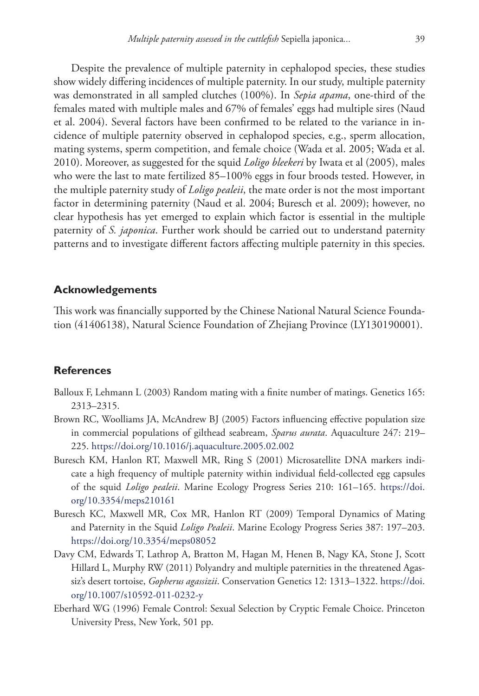Despite the prevalence of multiple paternity in cephalopod species, these studies show widely differing incidences of multiple paternity. In our study, multiple paternity was demonstrated in all sampled clutches (100%). In *Sepia apama*, one-third of the females mated with multiple males and 67% of females' eggs had multiple sires (Naud et al. 2004). Several factors have been confirmed to be related to the variance in incidence of multiple paternity observed in cephalopod species, e.g., sperm allocation, mating systems, sperm competition, and female choice (Wada et al. 2005; Wada et al. 2010). Moreover, as suggested for the squid *Loligo bleekeri* by Iwata et al (2005), males who were the last to mate fertilized 85–100% eggs in four broods tested. However, in the multiple paternity study of *Loligo pealeii*, the mate order is not the most important factor in determining paternity (Naud et al. 2004; Buresch et al. 2009); however, no clear hypothesis has yet emerged to explain which factor is essential in the multiple paternity of *S. japonica*. Further work should be carried out to understand paternity patterns and to investigate different factors affecting multiple paternity in this species.

# **Acknowledgements**

This work was financially supported by the Chinese National Natural Science Foundation (41406138), Natural Science Foundation of Zhejiang Province (LY130190001).

# **References**

- Balloux F, Lehmann L (2003) Random mating with a finite number of matings. Genetics 165: 2313–2315.
- Brown RC, Woolliams JA, McAndrew BJ (2005) Factors influencing effective population size in commercial populations of gilthead seabream, *Sparus aurata*. Aquaculture 247: 219– 225.<https://doi.org/10.1016/j.aquaculture.2005.02.002>
- Buresch KM, Hanlon RT, Maxwell MR, Ring S (2001) Microsatellite DNA markers indicate a high frequency of multiple paternity within individual field-collected egg capsules of the squid *Loligo pealeii*. Marine Ecology Progress Series 210: 161–165. [https://doi.](https://doi.org/10.3354/meps210161) [org/10.3354/meps210161](https://doi.org/10.3354/meps210161)
- Buresch KC, Maxwell MR, Cox MR, Hanlon RT (2009) Temporal Dynamics of Mating and Paternity in the Squid *Loligo Pealeii*. Marine Ecology Progress Series 387: 197–203. <https://doi.org/10.3354/meps08052>
- Davy CM, Edwards T, Lathrop A, Bratton M, Hagan M, Henen B, Nagy KA, Stone J, Scott Hillard L, Murphy RW (2011) Polyandry and multiple paternities in the threatened Agassiz's desert tortoise, *Gopherus agassizii*. Conservation Genetics 12: 1313–1322. [https://doi.](https://doi.org/10.1007/s10592-011-0232-y) [org/10.1007/s10592-011-0232-y](https://doi.org/10.1007/s10592-011-0232-y)
- Eberhard WG (1996) Female Control: Sexual Selection by Cryptic Female Choice. Princeton University Press, New York, 501 pp.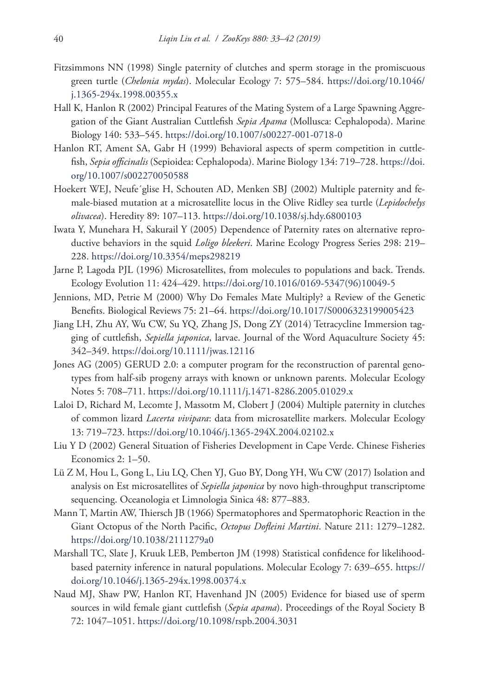- Fitzsimmons NN (1998) Single paternity of clutches and sperm storage in the promiscuous green turtle (*Chelonia mydas*). Molecular Ecology 7: 575–584. [https://doi.org/10.1046/](https://doi.org/10.1046/j.1365-294x.1998.00355.x) [j.1365-294x.1998.00355.x](https://doi.org/10.1046/j.1365-294x.1998.00355.x)
- Hall K, Hanlon R (2002) Principal Features of the Mating System of a Large Spawning Aggregation of the Giant Australian Cuttlefish *Sepia Apama* (Mollusca: Cephalopoda). Marine Biology 140: 533–545.<https://doi.org/10.1007/s00227-001-0718-0>
- Hanlon RT, Ament SA, Gabr H (1999) Behavioral aspects of sperm competition in cuttlefish, *Sepia officinalis* (Sepioidea: Cephalopoda). Marine Biology 134: 719–728. [https://doi.](https://doi.org/10.1007/s002270050588) [org/10.1007/s002270050588](https://doi.org/10.1007/s002270050588)
- Hoekert WEJ, Neufe´glise H, Schouten AD, Menken SBJ (2002) Multiple paternity and female-biased mutation at a microsatellite locus in the Olive Ridley sea turtle (*Lepidochelys olivacea*). Heredity 89: 107–113.<https://doi.org/10.1038/sj.hdy.6800103>
- Iwata Y, Munehara H, Sakurail Y (2005) Dependence of Paternity rates on alternative reproductive behaviors in the squid *Loligo bleekeri*. Marine Ecology Progress Series 298: 219– 228.<https://doi.org/10.3354/meps298219>
- Jarne P, Lagoda PJL (1996) Microsatellites, from molecules to populations and back. Trends. Ecology Evolution 11: 424–429. [https://doi.org/10.1016/0169-5347\(96\)10049-5](https://doi.org/10.1016/0169-5347(96)10049-5)
- Jennions, MD, Petrie M (2000) Why Do Females Mate Multiply? a Review of the Genetic Benefits. Biological Reviews 75: 21–64.<https://doi.org/10.1017/S0006323199005423>
- Jiang LH, Zhu AY, Wu CW, Su YQ, Zhang JS, Dong ZY (2014) Tetracycline Immersion tagging of cuttlefish, *Sepiella japonica*, larvae. Journal of the Word Aquaculture Society 45: 342–349.<https://doi.org/10.1111/jwas.12116>
- Jones AG (2005) GERUD 2.0: a computer program for the reconstruction of parental genotypes from half-sib progeny arrays with known or unknown parents. Molecular Ecology Notes 5: 708–711. <https://doi.org/10.1111/j.1471-8286.2005.01029.x>
- Laloi D, Richard M, Lecomte J, Massotm M, Clobert J (2004) Multiple paternity in clutches of common lizard *Lacerta vivipara*: data from microsatellite markers. Molecular Ecology 13: 719–723.<https://doi.org/10.1046/j.1365-294X.2004.02102.x>
- Liu Y D (2002) General Situation of Fisheries Development in Cape Verde. Chinese Fisheries Economics 2: 1–50.
- Lü Z M, Hou L, Gong L, Liu LQ, Chen YJ, Guo BY, Dong YH, Wu CW (2017) Isolation and analysis on Est microsatellites of *Sepiella japonica* by novo high-throughput transcriptome sequencing. Oceanologia et Limnologia Sinica 48: 877–883.
- Mann T, Martin AW, Thiersch JB (1966) Spermatophores and Spermatophoric Reaction in the Giant Octopus of the North Pacific, *Octopus Dofleini Martini*. Nature 211: 1279–1282. <https://doi.org/10.1038/2111279a0>
- Marshall TC, Slate J, Kruuk LEB, Pemberton JM (1998) Statistical confidence for likelihoodbased paternity inference in natural populations. Molecular Ecology 7: 639–655. [https://](https://doi.org/10.1046/j.1365-294x.1998.00374.x) [doi.org/10.1046/j.1365-294x.1998.00374.x](https://doi.org/10.1046/j.1365-294x.1998.00374.x)
- Naud MJ, Shaw PW, Hanlon RT, Havenhand JN (2005) Evidence for biased use of sperm sources in wild female giant cuttlefish (*Sepia apama*). Proceedings of the Royal Society B 72: 1047–1051.<https://doi.org/10.1098/rspb.2004.3031>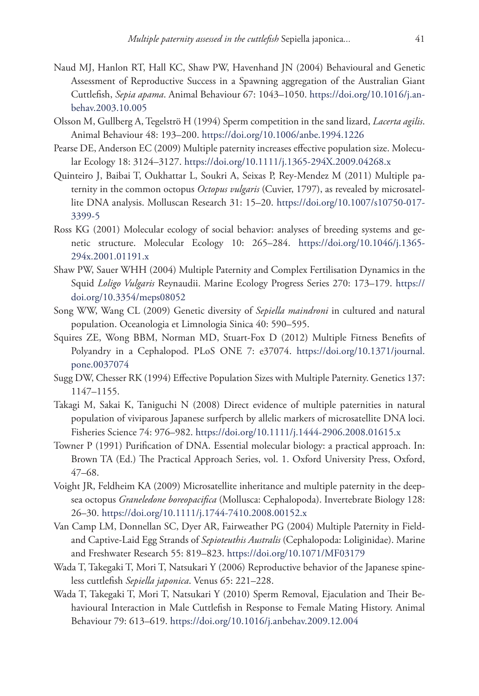- Naud MJ, Hanlon RT, Hall KC, Shaw PW, Havenhand JN (2004) Behavioural and Genetic Assessment of Reproductive Success in a Spawning aggregation of the Australian Giant Cuttlefish, *Sepia apama*. Animal Behaviour 67: 1043–1050. [https://doi.org/10.1016/j.an](https://doi.org/10.1016/j.anbehav.2003.10.005)[behav.2003.10.005](https://doi.org/10.1016/j.anbehav.2003.10.005)
- Olsson M, Gullberg A, Tegelströ H (1994) Sperm competition in the sand lizard, *Lacerta agilis*. Animal Behaviour 48: 193–200.<https://doi.org/10.1006/anbe.1994.1226>
- Pearse DE, Anderson EC (2009) Multiple paternity increases effective population size. Molecular Ecology 18: 3124–3127.<https://doi.org/10.1111/j.1365-294X.2009.04268.x>
- Quinteiro J, Baibai T, Oukhattar L, Soukri A, Seixas P, Rey-Mendez M (2011) Multiple paternity in the common octopus *Octopus vulgaris* (Cuvier, 1797), as revealed by microsatellite DNA analysis. Molluscan Research 31: 15–20. [https://doi.org/10.1007/s10750-017-](https://doi.org/10.1007/s10750-017-3399-5) [3399-5](https://doi.org/10.1007/s10750-017-3399-5)
- Ross KG (2001) Molecular ecology of social behavior: analyses of breeding systems and genetic structure. Molecular Ecology 10: 265–284. [https://doi.org/10.1046/j.1365-](https://doi.org/10.1046/j.1365-294x.2001.01191.x) [294x.2001.01191.x](https://doi.org/10.1046/j.1365-294x.2001.01191.x)
- Shaw PW, Sauer WHH (2004) Multiple Paternity and Complex Fertilisation Dynamics in the Squid *Loligo Vulgaris* Reynaudii. Marine Ecology Progress Series 270: 173–179. [https://](https://doi.org/10.3354/meps08052) [doi.org/10.3354/meps08052](https://doi.org/10.3354/meps08052)
- Song WW, Wang CL (2009) Genetic diversity of *Sepiella maindroni* in cultured and natural population. Oceanologia et Limnologia Sinica 40: 590–595.
- Squires ZE, Wong BBM, Norman MD, Stuart-Fox D (2012) Multiple Fitness Benefits of Polyandry in a Cephalopod. PLoS ONE 7: e37074. [https://doi.org/10.1371/journal.](https://doi.org/10.1371/journal.pone.0037074) [pone.0037074](https://doi.org/10.1371/journal.pone.0037074)
- Sugg DW, Chesser RK (1994) Effective Population Sizes with Multiple Paternity. Genetics 137: 1147–1155.
- Takagi M, Sakai K, Taniguchi N (2008) Direct evidence of multiple paternities in natural population of viviparous Japanese surfperch by allelic markers of microsatellite DNA loci. Fisheries Science 74: 976–982.<https://doi.org/10.1111/j.1444-2906.2008.01615.x>
- Towner P (1991) Purification of DNA. Essential molecular biology: a practical approach. In: Brown TA (Ed.) The Practical Approach Series, vol. 1. Oxford University Press, Oxford, 47–68.
- Voight JR, Feldheim KA (2009) Microsatellite inheritance and multiple paternity in the deepsea octopus *Graneledone boreopacifica* (Mollusca: Cephalopoda). Invertebrate Biology 128: 26–30.<https://doi.org/10.1111/j.1744-7410.2008.00152.x>
- Van Camp LM, Donnellan SC, Dyer AR, Fairweather PG (2004) Multiple Paternity in Fieldand Captive-Laid Egg Strands of *Sepioteuthis Australis* (Cephalopoda: Loliginidae). Marine and Freshwater Research 55: 819–823. <https://doi.org/10.1071/MF03179>
- Wada T, Takegaki T, Mori T, Natsukari Y (2006) Reproductive behavior of the Japanese spineless cuttlefish *Sepiella japonica*. Venus 65: 221–228.
- Wada T, Takegaki T, Mori T, Natsukari Y (2010) Sperm Removal, Ejaculation and Their Behavioural Interaction in Male Cuttlefish in Response to Female Mating History. Animal Behaviour 79: 613–619.<https://doi.org/10.1016/j.anbehav.2009.12.004>